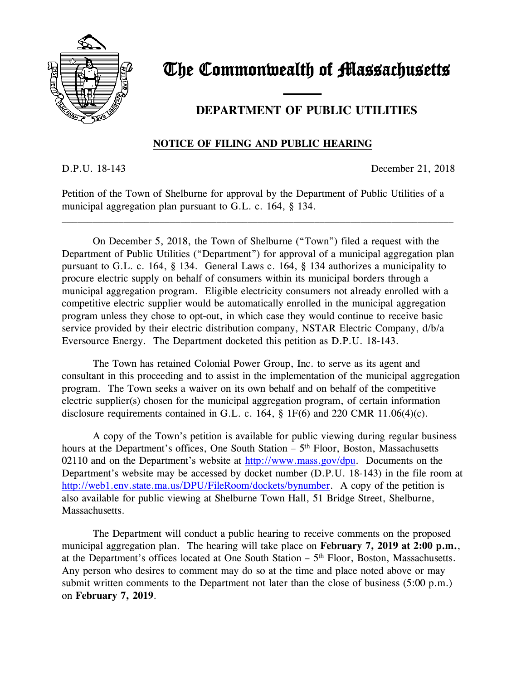

## The Commonwealth of Massachusetts

### **DEPARTMENT OF PUBLIC UTILITIES**

#### **NOTICE OF FILING AND PUBLIC HEARING**

and the contract of the contract of

D.P.U. 18-143 December 21, 2018

Petition of the Town of Shelburne for approval by the Department of Public Utilities of a municipal aggregation plan pursuant to G.L. c. 164, § 134.

\_\_\_\_\_\_\_\_\_\_\_\_\_\_\_\_\_\_\_\_\_\_\_\_\_\_\_\_\_\_\_\_\_\_\_\_\_\_\_\_\_\_\_\_\_\_\_\_\_\_\_\_\_\_\_\_\_\_\_\_\_\_\_\_\_\_\_\_\_\_\_\_\_\_\_\_

On December 5, 2018, the Town of Shelburne ("Town") filed a request with the Department of Public Utilities ("Department") for approval of a municipal aggregation plan pursuant to G.L. c. 164, § 134. General Laws c. 164, § 134 authorizes a municipality to procure electric supply on behalf of consumers within its municipal borders through a municipal aggregation program. Eligible electricity consumers not already enrolled with a competitive electric supplier would be automatically enrolled in the municipal aggregation program unless they chose to opt-out, in which case they would continue to receive basic service provided by their electric distribution company, NSTAR Electric Company, d/b/a Eversource Energy. The Department docketed this petition as D.P.U. 18-143.

The Town has retained Colonial Power Group, Inc. to serve as its agent and consultant in this proceeding and to assist in the implementation of the municipal aggregation program. The Town seeks a waiver on its own behalf and on behalf of the competitive electric supplier(s) chosen for the municipal aggregation program, of certain information disclosure requirements contained in G.L. c. 164, § 1F(6) and 220 CMR 11.06(4)(c).

A copy of the Town's petition is available for public viewing during regular business hours at the Department's offices, One South Station - 5<sup>th</sup> Floor, Boston, Massachusetts 02110 and on the Department's website at [http://www.mass.gov/dpu.](http://www.mass.gov/dpu) Documents on the Department's website may be accessed by docket number (D.P.U. 18-143) in the file room at [http://web1.env.state.ma.us/DPU/FileRoom/dockets/bynumber.](http://web1.env.state.ma.us/DPU/FileRoom/dockets/bynumber) A copy of the petition is also available for public viewing at Shelburne Town Hall, 51 Bridge Street, Shelburne, Massachusetts.

The Department will conduct a public hearing to receive comments on the proposed municipal aggregation plan. The hearing will take place on **February 7, 2019 at 2:00 p.m.**, at the Department's offices located at One South Station - 5<sup>th</sup> Floor, Boston, Massachusetts. Any person who desires to comment may do so at the time and place noted above or may submit written comments to the Department not later than the close of business (5:00 p.m.) on **February 7, 2019**.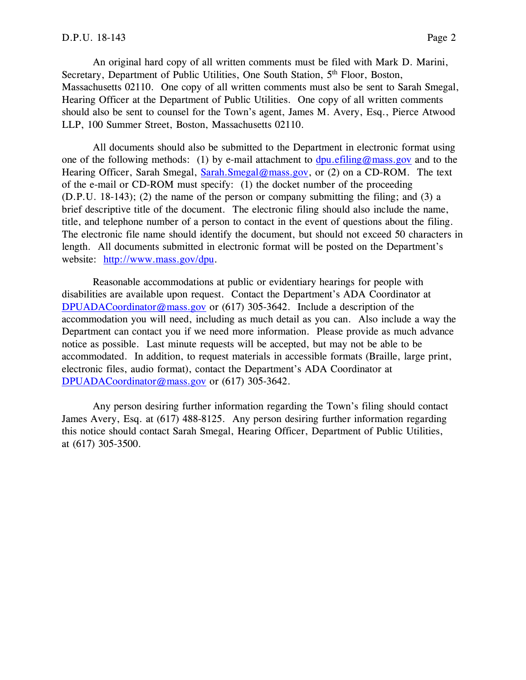An original hard copy of all written comments must be filed with Mark D. Marini, Secretary, Department of Public Utilities, One South Station, 5<sup>th</sup> Floor, Boston, Massachusetts 02110. One copy of all written comments must also be sent to Sarah Smegal, Hearing Officer at the Department of Public Utilities. One copy of all written comments should also be sent to counsel for the Town's agent, James M. Avery, Esq., Pierce Atwood LLP, 100 Summer Street, Boston, Massachusetts 02110.

All documents should also be submitted to the Department in electronic format using one of the following methods: (1) by e-mail attachment to  $dpu$  efiling@mass.gov and to the Hearing Officer, Sarah Smegal, [Sarah.Smegal@mass.gov,](mailto:Sarah.Smegal@mass.gov) or (2) on a CD-ROM. The text of the e-mail or CD-ROM must specify: (1) the docket number of the proceeding (D.P.U. 18-143); (2) the name of the person or company submitting the filing; and (3) a brief descriptive title of the document. The electronic filing should also include the name, title, and telephone number of a person to contact in the event of questions about the filing. The electronic file name should identify the document, but should not exceed 50 characters in length. All documents submitted in electronic format will be posted on the Department's website: [http://www.mass.gov/dpu.](http://www.mass.gov/dpu)

Reasonable accommodations at public or evidentiary hearings for people with disabilities are available upon request. Contact the Department's ADA Coordinator at [DPUADACoordinator@mass.gov](mailto:DPUADACoordinator@mass.gov) or (617) 305-3642. Include a description of the accommodation you will need, including as much detail as you can. Also include a way the Department can contact you if we need more information. Please provide as much advance notice as possible. Last minute requests will be accepted, but may not be able to be accommodated. In addition, to request materials in accessible formats (Braille, large print, electronic files, audio format), contact the Department's ADA Coordinator at [DPUADACoordinator@mass.gov](mailto:DPUADACoordinator@mass.gov) or (617) 305-3642.

Any person desiring further information regarding the Town's filing should contact James Avery, Esq. at (617) 488-8125. Any person desiring further information regarding this notice should contact Sarah Smegal, Hearing Officer, Department of Public Utilities, at (617) 305-3500.